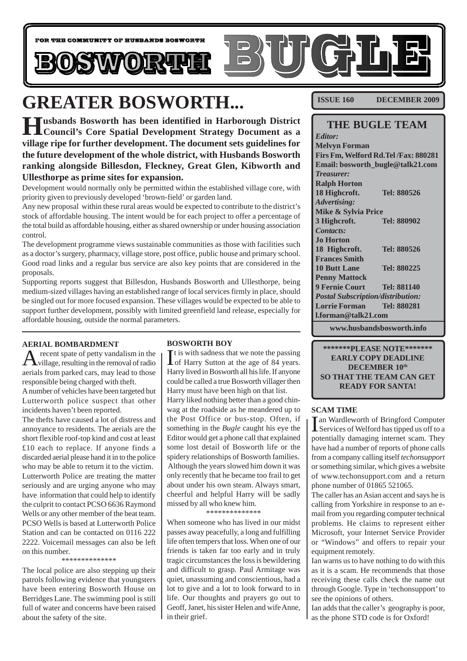

# **GREATER BOSWORTH...**

**Husbands Bosworth has been identified in Harborough District Council's Core Spatial Development Strategy Document as a village ripe for further development. The document sets guidelines for the future development of the whole district, with Husbands Bosworth ranking alongside Billesdon, Fleckney, Great Glen, Kibworth and Ullesthorpe as prime sites for expansion.**

Development would normally only be permitted within the established village core, with priority given to previously developed 'brown-field' or garden land.

Any new proposal within these rural areas would be expected to contribute to the district's stock of affordable housing. The intent would be for each project to offer a percentage of the total build as affordable housing, either as shared ownership or under housing association control.

The development programme views sustainable communities as those with facilities such as a doctor's surgery, pharmacy, village store, post office, public house and primary school. Good road links and a regular bus service are also key points that are considered in the proposals.

Supporting reports suggest that Billesdon, Husbands Bosworth and Ullesthorpe, being medium-sized villages having an established range of local services firmly in place, should be singled out for more focused expansion. These villages would be expected to be able to support further development, possibly with limited greenfield land release, especially for affordable housing, outside the normal parameters.

#### **AERIAL BOMBARDMENT**

 $A$  recent spate of petty vandalism in the removal of radio aerials from parked cars, may lead to those responsible being charged with theft. A number of vehicles have been targeted but Lutterworth police suspect that other

incidents haven't been reported. The thefts have caused a lot of distress and annoyance to residents. The aerials are the short flexible roof-top kind and cost at least £10 each to replace. If anyone finds a discarded aerial please hand it in to the police who may be able to return it to the victim. Lutterworth Police are treating the matter seriously and are urging anyone who may have information that could help to identify the culprit to contact PCSO 6636 Raymond Wells or any other member of the beat team. PCSO Wells is based at Lutterworth Police Station and can be contacted on 0116 222 2222. Voicemail messages can also be left on this number.

\*\*\*\*\*\*\*\*\*\*\*\*\*\*

The local police are also stepping up their patrols following evidence that youngsters have been entering Bosworth House on Berridges Lane. The swimming pool is still full of water and concerns have been raised about the safety of the site.

#### **BOSWORTH BOY**

It is with sadness that we note the passing<br>of Harry Sutton at the age of 84 years. It is with sadness that we note the passing Harry lived in Bosworth all his life. If anyone could be called a true Bosworth villager then Harry must have been high on that list. Harry liked nothing better than a good chinwag at the roadside as he meandered up to the Post Office or bus-stop. Often, if something in the *Bugle* caught his eye the Editor would get a phone call that explained some lost detail of Bosworth life or the spidery relationships of Bosworth families. Although the years slowed him down it was only recently that he became too frail to get about under his own steam. Always smart, cheerful and helpful Harry will be sadly missed by all who knew him.

#### \*\*\*\*\*\*\*\*\*\*\*\*\*\*

When someone who has lived in our midst passes away peacefully, a long and fulfilling life often tempers that loss. When one of our friends is taken far too early and in truly tragic circumstances the loss is bewildering and difficult to grasp. Paul Armitage was quiet, unassuming and conscientious, had a lot to give and a lot to look forward to in life. Our thoughts and prayers go out to Geoff, Janet, his sister Helen and wife Anne, in their grief.

**ISSUE 160 DECEMBER 2009**

### **THE BUGLE TEAM**

*Editor:* **Melvyn Forman Firs Fm, Welford Rd.Tel /Fax: 880281 Email: bosworth\_bugle@talk21.com** *Treasurer:* **Ralph Horton 18 Highcroft. Tel: 880526** *Advertising:* **Mike & Sylvia Price 3 Highcroft. Tel: 880902** *Contacts:* **Jo Horton 18 Highcroft. Tel: 880526 Frances Smith 10 Butt Lane Tel: 880225 Penny Mattock 9 Fernie Court Tel: 881140** *Postal Subscription/distribution:* **Lorrie Forman Tel: 880281 l.forman@talk21.com**

**www.husbandsbosworth.info**

#### **\*\*\*\*\*\*\*PLEASE NOTE\*\*\*\*\*\*\* EARLY COPY DEADLINE DECEMBER 10th SO THAT THE TEAM CAN GET READY FOR SANTA!**

#### **SCAM TIME**

In Wardleworth of Bringford Computer<br>Services of Welford has tipped us off to a Services of Welford has tipped us off to a potentially damaging internet scam. They have had a number of reports of phone calls from a company calling itself *techonsupport* or something similar, which gives a website of www.techonsupport.com and a return phone number of 01865 521065.

The caller has an Asian accent and says he is calling from Yorkshire in response to an email from you regarding computer technical problems. He claims to represent either Microsoft, your Internet Service Provider or "Windows" and offers to repair your equipment remotely.

Ian warns us to have nothing to do with this as it is a scam. He recommends that those receiving these calls check the name out through Google. Type in 'techonsupport' to see the opinions of others.

Ian adds that the caller's geography is poor, as the phone STD code is for Oxford!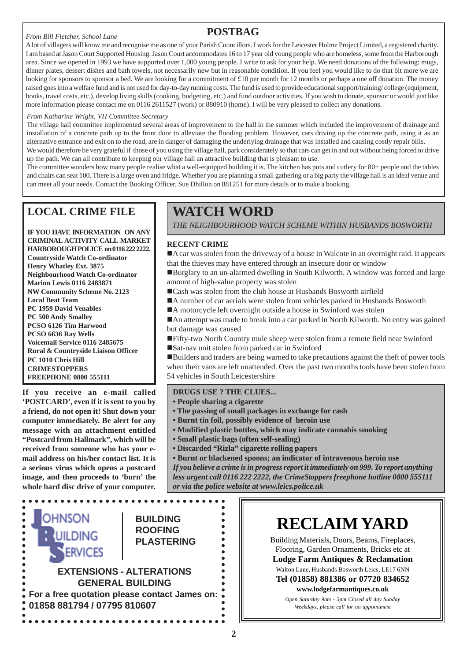#### *From Bill Fletcher, School Lane*

# **POSTBAG**

A lot of villagers will know me and recognise me as one of your Parish Councillors. I work for the Leicester Holme Project Limited, a registered charity. I am based at Jason Court Supported Housing. Jason Court accommodates 16 to 17 year old young people who are homeless, some from the Harborough area. Since we opened in 1993 we have supported over 1,000 young people. I write to ask for your help. We need donations of the following: mugs, dinner plates, dessert dishes and bath towels, not necessarily new but in reasonable condition. If you feel you would like to do that bit more we are looking for sponsors to sponsor a bed. We are looking for a commitment of £10 per month for 12 months or perhaps a one off donation. The money raised goes into a welfare fund and is not used for day-to-day running costs. The fund is used to provide educational support/training/ college (equipment, books, travel costs, etc.), develop living skills (cooking, budgeting, etc.) and fund outdoor activities. If you wish to donate, sponsor or would just like more information please contact me on 0116 2611527 (work) or 880910 (home). I will be very pleased to collect any donations.

#### *From Katharine Wright, VH Committee Secretary*

The village hall committee implemented several areas of improvement to the hall in the summer which included the improvement of drainage and installation of a concrete path up to the front door to alleviate the flooding problem. However, cars driving up the concrete path, using it as an alternative entrance and exit on to the road, are in danger of damaging the underlying drainage that was installed and causing costly repair bills. We would therefore be very grateful if those of you using the village hall, park considerately so that cars can get in and out without being forced to drive

up the path. We can all contribute to keeping our village hall an attractive building that is pleasant to use. The committee wonders how many people realise what a well-equipped building it is. The kitchen has pots and cutlery for 80+ people and the tables and chairs can seat 100. There is a large oven and fridge. Whether you are planning a small gathering or a big party the village hall is an ideal venue and can meet all your needs. Contact the Booking Officer, Sue Dhillon on 881251 for more details or to make a booking.

# **LOCAL CRIME FILE**

**IF YOU HAVE INFORMATION ON ANY CRIMINAL ACTIVITY CALL MARKET HARBOROUGH POLICE on 0116 222 2222. Countryside Watch Co-ordinator Henry Whatley Ext. 3875 Neighbourhood Watch Co-ordinator Marion Lewis 0116 2483871 NW Community Scheme No. 2123 Local Beat Team PC 1959 David Venables PC 500 Andy Smalley PCSO 6126 Tim Harwood PCSO 6636 Ray Wells Voicemail Service 0116 2485675 Rural & Countryside Liaison Officer PC 1010 Chris Hill CRIMESTOPPERS FREEPHONE 0800 555111**

**If you receive an e-mail called 'POSTCARD', even if it is sent to you by a friend, do not open it! Shut down your computer immediately. Be alert for any message with an attachment entitled "Postcard from Hallmark", which will be received from someone who has your email address on his/her contact list. It is a serious virus which opens a postcard image, and then proceeds to 'burn' the whole hard disc drive of your computer.**

### OHNSON **BUILDING ROOFING RUILDING**  $\bullet$ **PLASTERING**  $\bullet$ **NERVICES EXTENSIONS - ALTERATIONS GENERAL BUILDING For a free quotation please contact James on: 01858 881794 / 07795 810607**

# **WATCH WORD**

*THE NEIGHBOURHOOD WATCH SCHEME WITHIN HUSBANDS BOSWORTH*

#### **RECENT CRIME**

!A car was stolen from the driveway of a house in Walcote in an overnight raid. It appears that the thieves may have entered through an insecure door or window

!Burglary to an un-alarmed dwelling in South Kilworth. A window was forced and large amount of high-value property was stolen

- Cash was stolen from the club house at Husbands Bosworth airfield
- !A number of car aerials were stolen from vehicles parked in Husbands Bosworth
- ■A motorcycle left overnight outside a house in Swinford was stolen

!An attempt was made to break into a car parked in North Kilworth. No entry was gained but damage was caused

- !Fifty-two North Country mule sheep were stolen from a remote field near Swinford
- !Sat-nav unit stolen from parked car in Swinford

!Builders and traders are being warned to take precautions against the theft of power tools when their vans are left unattended. Over the past two months tools have been stolen from 54 vehicles in South Leicestershire

#### **DRUGS USE ? THE CLUES...**

- **People sharing a cigarette**
- **The passing of small packages in exchange for cash**
- **Burnt tin foil, possibly evidence of heroin use**
- **Modified plastic bottles, which may indicate cannabis smoking**
- **Small plastic bags (often self-sealing)**
- **Discarded "Rizla" cigarette rolling papers**
- **Burnt or blackened spoons; an indicator of intravenous heroin use**

*If you believe a crime is in progress report it immediately on 999. To report anything less urgent call 0116 222 2222, the CrimeStoppers freephone hotline 0800 555111 or via the police website at www.leics.police.uk*

# **RECLAIM YARD**

Building Materials, Doors, Beams, Fireplaces, Flooring, Garden Ornaments, Bricks etc at **Lodge Farm Antiques & Reclamation**

Walton Lane, Husbands Bosworth Leics, LE17 6NN **Tel (01858) 881386 or 07720 834652**

### **www.lodgefarmantiques.co.uk**

*Open Saturday 9am - 5pm Closed all day Sunday Weekdays, please call for an appointment*

 $\bullet$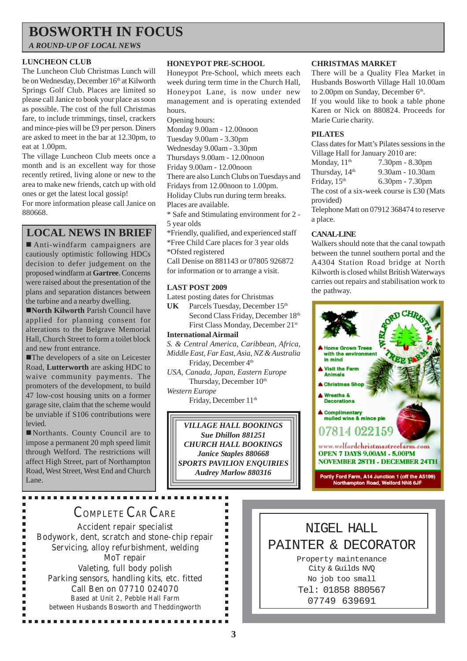# **BOSWORTH IN FOCUS**

*A ROUND-UP OF LOCAL NEWS*

#### **LUNCHEON CLUB**

The Luncheon Club Christmas Lunch will be on Wednesday, December 16th at Kilworth Springs Golf Club. Places are limited so please call Janice to book your place as soon as possible. The cost of the full Christmas fare, to include trimmings, tinsel, crackers and mince-pies will be £9 per person. Diners are asked to meet in the bar at 12.30pm, to eat at 1.00pm.

The village Luncheon Club meets once a month and is an excellent way for those recently retired, living alone or new to the area to make new friends, catch up with old ones or get the latest local gossip!

For more information please call Janice on 880668.

### **LOCAL NEWS IN BRIEF**

! Anti-windfarm campaigners are cautiously optimistic following HDCs decision to defer judgement on the proposed windfarm at **Gartree**. Concerns were raised about the presentation of the plans and separation distances between the turbine and a nearby dwelling.

!**North Kilworth** Parish Council have applied for planning consent for alterations to the Belgrave Memorial Hall, Church Street to form a toilet block and new front entrance.

**The developers of a site on Leicester** Road, **Lutterworth** are asking HDC to waive community payments. The promoters of the development, to build 47 low-cost housing units on a former garage site, claim that the scheme would be unviable if S106 contributions were levied.

!Northants. County Council are to impose a permanent 20 mph speed limit through Welford. The restrictions will affect High Street, part of Northampton Road, West Street, West End and Church Lane.

-------------

#### **HONEYPOT PRE-SCHOOL**

Honeypot Pre-School, which meets each week during term time in the Church Hall, Honeypot Lane, is now under new management and is operating extended hours.

Opening hours:

Monday 9.00am - 12.00noon

Tuesday 9.00am - 3.30pm

Wednesday 9.00am - 3.30pm Thursdays 9.00am - 12.00noon

Friday 9.00am - 12.00noon

There are also Lunch Clubs on Tuesdays and

Fridays from 12.00noon to 1.00pm.

Holiday Clubs run during term breaks.

Places are available.

\* Safe and Stimulating environment for 2 - 5 year olds

\*Friendly, qualified, and experienced staff \*Free Child Care places for 3 year olds

\*Ofsted registered

Call Denise on 881143 or 07805 926872 for information or to arrange a visit.

#### **LAST POST 2009**

Latest posting dates for Christmas

UK Parcels Tuesday, December 15<sup>th</sup> Second Class Friday, December 18th First Class Monday, December 21st

#### **International Airmail**

*S. & Central America, Caribbean, Africa, Middle East, Far East, Asia, NZ & Australia* Friday, December 4<sup>th</sup>

*USA, Canada, Japan, Eastern Europe* Thursday, December  $10<sup>th</sup>$ *Western Europe*

Friday, December 11<sup>th</sup>

*VILLAGE HALL BOOKINGS Sue Dhillon 881251 CHURCH HALL BOOKINGS Janice Staples 880668 SPORTS PAVILION ENQUIRIES Audrey Marlow 880316*

 $\blacksquare$ 

 $\blacksquare$  $\blacksquare$  $\blacksquare$  $\blacksquare$  $\blacksquare$  $\blacksquare$  $\blacksquare$  $\blacksquare$  $\blacksquare$ ٠ ٠

#### **CHRISTMAS MARKET**

There will be a Quality Flea Market in Husbands Bosworth Village Hall 10.00am to 2.00pm on Sunday, December  $6<sup>th</sup>$ . If you would like to book a table phone

Karen or Nick on 880824. Proceeds for Marie Curie charity.

#### **PILATES**

Class dates for Matt's Pilates sessions in the Village Hall for January 2010 are: Monday,  $11<sup>th</sup>$  7.30pm - 8.30pm Thursday,  $14<sup>th</sup>$  9.30am - 10.30am Friday,  $15<sup>th</sup>$  6.30pm - 7.30pm The cost of a six-week course is £30 (Mats provided) Telephone Matt on 07912 368474 to reserve a place.

#### **CANAL-LINE**

Walkers should note that the canal towpath between the tunnel southern portal and the A4304 Station Road bridge at North Kilworth is closed whilst British Waterways carries out repairs and stabilisation work to the pathway.



# COMPLETE CAR CARE

Accident repair specialist Bodywork, dent, scratch and stone-chip repair Servicing, alloy refurbishment, welding MoT repair Valeting, full body polish Parking sensors, handling kits, etc. fitted Call Ben on 07710 024070 Based at Unit 2, Pebble Hall Farm between Husbands Bosworth and Theddingworth

................

NIGEL HALL PAINTER & DECORATOR Property maintenance City & Guilds NVQ No job too small Tel: 01858 880567 07749 639691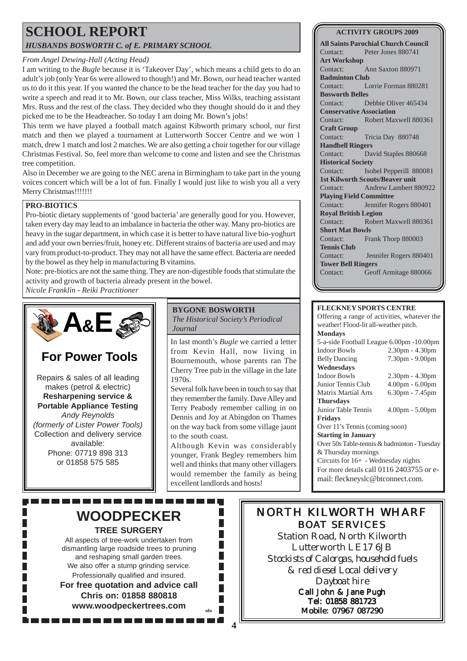### **SCHOOL REPORT** *HUSBANDS BOSWORTH C. of E. PRIMARY SCHOOL*

#### *From Angel Dewing-Hall (Acting Head)*

I am writing to the *Bugle* because it is 'Takeover Day', which means a child gets to do an adult's job (only Year 6s were allowed to though!) and Mr. Bown, our head teacher wanted us to do it this year. If you wanted the chance to be the head teacher for the day you had to write a speech and read it to Mr. Bown, our class teacher, Miss Wilks, teaching assistant Mrs. Russ and the rest of the class. They decided who they thought should do it and they picked me to be the Headteacher. So today I am doing Mr. Bown's jobs!

This term we have played a football match against Kibworth primary school, our first match and then we played a tournament at Lutterworth Soccer Centre and we won 1 match, drew 1 match and lost 2 matches. We are also getting a choir together for our village Christmas Festival. So, feel more than welcome to come and listen and see the Christmas tree competition.

Also in December we are going to the NEC arena in Birmingham to take part in the young voices concert which will be a lot of fun. Finally I would just like to wish you all a very Merry Christmas!!!!!!!

#### **PRO-BIOTICS**

Pro-biotic dietary supplements of 'good bacteria' are generally good for you. However, taken every day may lead to an imbalance in bacteria the other way. Many pro-biotics are heavy in the sugar department, in which case it is better to have natural live bio-yoghurt and add your own berries/fruit, honey etc. Different strains of bacteria are used and may vary from product-to-product. They may not all have the same effect. Bacteria are needed by the bowel as they help in manufacturing B vitamins.

Note: pre-biotics are not the same thing. They are non-digestible foods that stimulate the activity and growth of bacteria already present in the bowel.

*Nicole Franklin - Reiki Practitioner*



# **For Power Tools**

Repairs & sales of all leading makes (petrol & electric) **Resharpening service & Portable Appliance Testing** *Andy Reynolds (formerly of Lister Power Tools)* Collection and delivery service available: Phone: 07719 898 313 or 01858 575 585

#### **BYGONE BOSWORTH**

*The Historical Society's Periodical Journal*

In last month's *Bugle* we carried a letter from Kevin Hall, now living in Bournemouth, whose parents ran The Cherry Tree pub in the village in the late 1970s.

Several folk have been in touch to say that they remember the family. Dave Alley and Terry Peabody remember calling in on Dennis and Joy at Abingdon on Thames on the way back from some village jaunt to the south coast.

Although Kevin was considerably younger, Frank Begley remembers him well and thinks that many other villagers would remember the family as being excellent landlords and hosts!

#### **ACTIVITY GROUPS 2009**

**All Saints Parochial Church Council** Contact: Peter Jones 880741 **Art Workshop** Contact: Ann Saxton 880971 **Badminton Club** Contact: Lorrie Forman 880281 **Bosworth Belles** Contact: Debbie Oliver 465434 **Conservative Association** Contact: Robert Maxwell 880361 **Craft Group** Contact: Tricia Day 880748 **Handbell Ringers** Contact: David Staples 880668 **Historical Society** Contact: Isobel Pepperill 880081 **1st Kilworth Scouts/Beaver unit** Contact: Andrew Lambert 880922 **Playing Field Committee** Contact: Jennifer Rogers 880401 **Royal British Legion** Contact: Robert Maxwell 880361 **Short Mat Bowls** Contact: Frank Thorp 880003 **Tennis Club** Contact: Jennifer Rogers 880401 **Tower Bell Ringers** Contact: Geoff Armitage 880066

#### **FLECKNEY SPORTS CENTRE**

Offering a range of activities, whatever the weather! Flood-lit all-weather pitch. **Mondays** 5-a-side Football League 6.00pm -10.00pm Indoor Bowls 2.30pm - 4.30pm Belly Dancing 7.30pm - 9.00pm **Wednesdays** Indoor Bowls 2.30pm - 4.30pm Junior Tennis Club 4.00pm - 6.00pm Matrix Martial Arts 6.30pm - 7.45pm **Thursdays** Junior Table Tennis 4.00pm - 5.00pm **Fridays** Over 11's Tennis (coming soon) **Starting in January** Over 50s Table-tennis & badminton - Tuesday & Thursday mornings Circuits for 16+ - Wednesday nights For more details call 0116 2403755 or email: fleckneyslc@btconnect.com.

# **WOODPECKER TREE SURGERY**

All aspects of tree-work undertaken from dismantling large roadside trees to pruning and reshaping small garden trees. We also offer a stump grinding service. Professionally qualified and insured. **For free quotation and advice call Chris on: 01858 880818 www.woodpeckertrees.com ufn**

# NORTH KILWORTH WHARF BOAT SERVICES

Station Road, North Kilworth Lutterworth LE17 6JB *Stockists of Calorgas, household fuels & red diesel Local delivery Dayboat hire* Call John & Jane Pugh

Tel: 01858 881723 Mobile: 07967 087290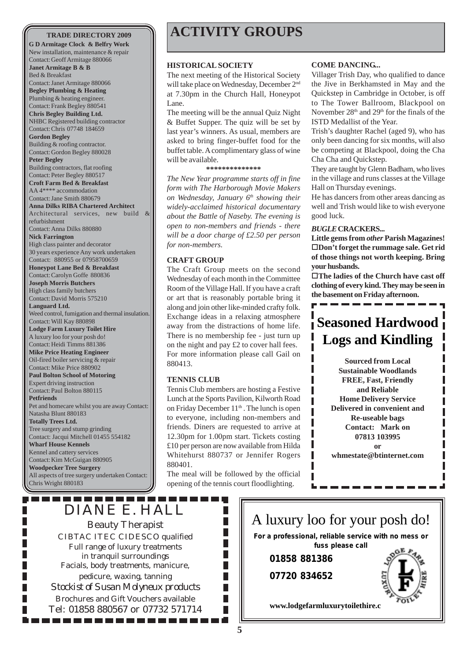**G D Armitage Clock & Belfry Work** New installation, maintenance & repair Contact:Geoff Armitage 880066 **Janet Armitage B & B** Bed & Breakfast

Contact:Janet Armitage 880066 **Begley Plumbing & Heating** Plumbing & heating engineer.

Contact: Frank Begley 880541 **Chris Begley Building Ltd.** NHBC Registered building contractor Contact:Chris 07748 184659

**Gordon Begley** Building & roofing contractor. Contact:Gordon Begley 880028

**Peter Begley** Building contractors, flat roofing

Contact: Peter Begley 880517

**Croft Farm Bed & Breakfast** AA 4\*\*\*\* accommodation Contact:Jane Smith 880679

**Anna Dilks RIBA Chartered Architect** Architectural services, new build &

refurbishment Contact:Anna Dilks 880880 **Nick Farrington** High class painter and decorator

30 years experience Any work undertaken Contact: 880955 or 07958700659 **Honeypot Lane Bed & Breakfast**

Contact:Carolyn Goffe 880836 **Joseph Morris Butchers** High class family butchers Contact:David Morris 575210 **Languard Ltd.** Weed control, fumigation and thermal insulation. Contact: Will Kay 880898 **Lodge Farm Luxury Toilet Hire** A luxury loo for your posh do! Contact: Heidi Timms 881386 **Mike Price Heating Engineer**

Oil-fired boiler servicing & repair Contact: Mike Price 880902 **Paul Bolton School of Motoring** Expert driving instruction Contact: Paul Bolton 880115 **Petfriends** Pet and homecare whilst you are away Contact:

Natasha Blunt 880183 **Totally Trees Ltd.** Tree surgery and stump grinding Contact: Jacqui Mitchell 01455 554182 **Wharf House Kennels** Kennel and cattery services

Contact: Kim McGuigan 880905 **Woodpecker Tree Surgery** All aspects of tree surgery undertaken Contact: Chris Wright 880183

---------

# **TRADE DIRECTORY 2009 ACTIVITY GROUPS**

#### **HISTORICAL SOCIETY**

The next meeting of the Historical Society will take place on Wednesday, December 2<sup>nd</sup> at 7.30pm in the Church Hall, Honeypot Lane.

The meeting will be the annual Quiz Night & Buffet Supper. The quiz will be set by last year's winners. As usual, members are asked to bring finger-buffet food for the buffet table. A complimentary glass of wine will be available.

#### **\*\*\*\*\*\*\*\*\*\*\*\*\*\***

*The New Year programme starts off in fine form with The Harborough Movie Makers on Wednesday, January 6th showing their widely-acclaimed historical documentary about the Battle of Naseby. The evening is open to non-members and friends - there will be a door charge of £2.50 per person for non-members.*

#### **CRAFT GROUP**

The Craft Group meets on the second Wednesday of each month in the Committee Room of the Village Hall. If you have a craft or art that is reasonably portable bring it along and join other like-minded crafty folk. Exchange ideas in a relaxing atmosphere away from the distractions of home life. There is no membership fee - just turn up on the night and pay £2 to cover hall fees. For more information please call Gail on 880413.

#### **TENNIS CLUB**

Tennis Club members are hosting a Festive Lunch at the Sports Pavilion, Kilworth Road on Friday December  $11<sup>th</sup>$ . The lunch is open to everyone, including non-members and friends. Diners are requested to arrive at 12.30pm for 1.00pm start. Tickets costing £10 per person are now available from Hilda Whitehurst 880737 or Jennifer Rogers 880401.

The meal will be followed by the official opening of the tennis court floodlighting.

> П п

П П

П П

#### **COME DANCING...**

Villager Trish Day, who qualified to dance the Jive in Berkhamsted in May and the Quickstep in Cambridge in October, is off to The Tower Ballroom, Blackpool on November 28<sup>th</sup> and 29<sup>th</sup> for the finals of the ISTD Medallist of the Year.

Trish's daughter Rachel (aged 9), who has only been dancing for six months, will also be competing at Blackpool, doing the Cha Cha Cha and Quickstep.

They are taught by Glenn Badham, who lives in the village and runs classes at the Village Hall on Thursday evenings.

He has dancers from other areas dancing as well and Trish would like to wish everyone good luck.

#### *BUGLE* **CRACKERS...**

**Little gems from** *other* **Parish Magazines!**  $\square$  Don't forget the rummage sale. Get rid **of those things not worth keeping. Bring your husbands.**

**The ladies of the Church have cast off clothing of every kind. They may be seen in the basement on Friday afternoon.**

# **Seasoned Hardwood Logs and Kindling**

**Sourced from Local Sustainable Woodlands FREE, Fast, Friendly and Reliable Home Delivery Service Delivered in convenient and Re-useable bags Contact: Mark on 07813 103995 or whmestate@btinternet.com**

DIANE E. HALL Beauty Therapist CIBTAC ITEC CIDESCO qualified Full range of luxury treatments in tranquil surroundings Facials, body treatments, manicure, pedicure, waxing, tanning *Stockist of Susan Molyneux products* Brochures and Gift Vouchers available Tel: 01858 880567 or 07732 571714

. . . . . . . . . . .



I I ı Ι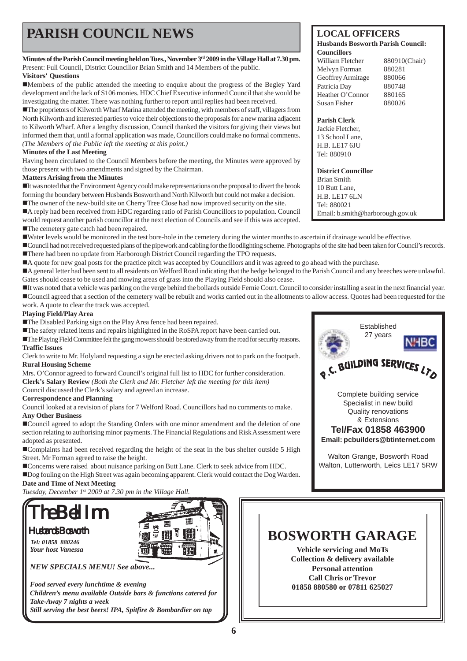# **PARISH COUNCIL NEWS** LOCAL OFFICERS

**Minutes of the Parish Council meeting held on Tues., November 3rd 2009 in the Village Hall at 7.30 pm.** Present: Full Council, District Councillor Brian Smith and 14 Members of the public.

#### **Visitors' Questions**

!Members of the public attended the meeting to enquire about the progress of the Begley Yard development and the lack of S106 monies. HDC Chief Executive informed Council that she would be investigating the matter. There was nothing further to report until replies had been received.

!The proprietors of Kilworth Wharf Marina attended the meeting, with members of staff, villagers from North Kilworth and interested parties to voice their objections to the proposals for a new marina adjacent to Kilworth Wharf. After a lengthy discussion, Council thanked the visitors for giving their views but informed them that, until a formal application was made, Councillors could make no formal comments. *(The Members of the Public left the meeting at this point.)*

#### **Minutes of the Last Meeting**

Having been circulated to the Council Members before the meeting, the Minutes were approved by those present with two amendments and signed by the Chairman.

#### **Matters Arising from the Minutes**

!It was noted that the Environment Agency could make representations on the proposal to divert the brook forming the boundary between Husbands Bosworth and North Kilworth but could not make a decision. !The owner of the new-build site on Cherry Tree Close had now improved security on the site.

!A reply had been received from HDC regarding ratio of Parish Councillors to population. Council

would request another parish councillor at the next election of Councils and see if this was accepted.

■The cemetery gate catch had been repaired.

!Water levels would be monitored in the test bore-hole in the cemetery during the winter months to ascertain if drainage would be effective.

!Council had not received requested plans of the pipework and cabling for the floodlighting scheme. Photographs of the site had been taken for Council's records. ■There had been no update from Harborough District Council regarding the TPO requests.

■ A quote for new goal posts for the practice pitch was accepted by Councillors and it was agreed to go ahead with the purchase.

!A general letter had been sent to all residents on Welford Road indicating that the hedge belonged to the Parish Council and any breeches were unlawful. Gates should cease to be used and mowing areas of grass into the Playing Field should also cease.

!It was noted that a vehicle was parking on the verge behind the bollards outside Fernie Court. Council to consider installing a seat in the next financial year. !Council agreed that a section of the cemetery wall be rebuilt and works carried out in the allotments to allow access. Quotes had been requested for the

work. A quote to clear the track was accepted.

#### **Playing Field/Play Area**

!The Disabled Parking sign on the Play Area fence had been repaired.

!The safety related items and repairs highlighted in the RoSPA report have been carried out.

!The Playing Field Committee felt the gang mowers should be stored away from the road for security reasons. **Traffic Issues**

Clerk to write to Mr. Holyland requesting a sign be erected asking drivers not to park on the footpath. **Rural Housing Scheme**

Mrs. O'Connor agreed to forward Council's original full list to HDC for further consideration.

**Clerk's Salary Review** *(Both the Clerk and Mr. Fletcher left the meeting for this item)*

Council discussed the Clerk's salary and agreed an increase.

#### **Correspondence and Planning**

Council looked at a revision of plans for 7 Welford Road. Councillors had no comments to make. **Any Other Business**

!Council agreed to adopt the Standing Orders with one minor amendment and the deletion of one section relating to authorising minor payments. The Financial Regulations and Risk Assessment were adopted as presented.

!Complaints had been received regarding the height of the seat in the bus shelter outside 5 High Street. Mr Forman agreed to raise the height.

!Concerns were raised about nuisance parking on Butt Lane. Clerk to seek advice from HDC. !Dog fouling on the High Street was again becoming apparent. Clerk would contact the Dog Warden. **Date and Time of Next Meeting**

*Tuesday, December 1st 2009 at 7.30 pm in the Village Hall.*



*Tel: 01858 880246 Your host Vanessa*

TH *NEW SPECIALS MENU! See above...*

#### **Husbands Bosworth Parish Council: Councillors**

| William Fletcher  | 880910(Chair) |
|-------------------|---------------|
| Melvyn Forman     | 880281        |
| Geoffrey Armitage | 880066        |
| Patricia Dav      | 880748        |
| Heather O'Connor  | 880165        |
| Susan Fisher      | 880026        |
|                   |               |

#### **Parish Clerk**

Jackie Fletcher, 13 School Lane, H.B. LE17 6JU Tel: 880910

**District Councillor**

Brian Smith 10 Butt Lane, H.B. LE17 6LN Tel: 880021 Email: b.smith@harborough.gov.uk



# **BOSWORTH GARAGE**

**Vehicle servicing and MoTs Collection & delivery available Personal attention Call Chris or Trevor 01858 880580 or 07811 625027**

*Food served every lunchtime & evening Children's menu available Outside bars & functions catered for Take-Away 7 nights a week Still serving the best beers! IPA, Spitfire & Bombardier on tap*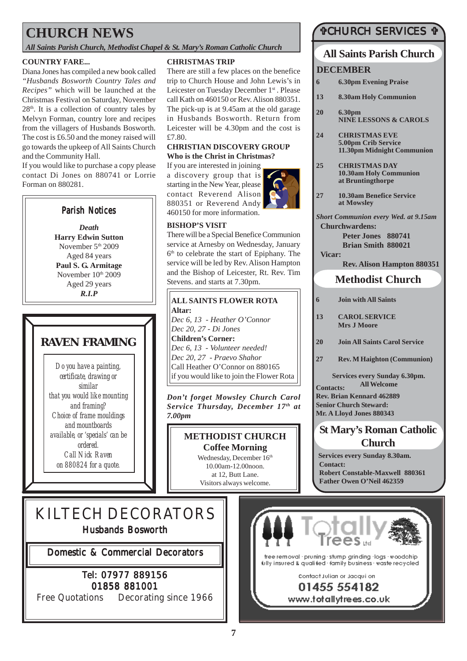# **CHURCH NEWS**

*All Saints Parish Church, Methodist Chapel & St. Mary's Roman Catholic Church*

### **COUNTRY FARE...**

Diana Jones has compiled a new book called *"Husbands Bosworth Country Tales and Recipes"* which will be launched at the Christmas Festival on Saturday, November  $28<sup>th</sup>$ . It is a collection of country tales by Melvyn Forman, country lore and recipes from the villagers of Husbands Bosworth. The cost is £6.50 and the money raised will go towards the upkeep of All Saints Church and the Community Hall.

If you would like to purchase a copy please contact Di Jones on 880741 or Lorrie Forman on 880281.



*Death* **Harry Edwin Sutton** November  $5<sup>th</sup> 2009$ Aged 84 years **Paul S. G. Armitage** November  $10<sup>th</sup> 2009$ Aged 29 years *R.I.P*

# **RAVEN FRAMING**

*Do you have a painting, certificate, drawing or similar that you would like mounting and framing? Choice of frame mouldings and mountboards available, or 'specials' can be ordered. Call Nick Raven on 880824 for a quote.*

#### **CHRISTMAS TRIP**

There are still a few places on the benefice trip to Church House and John Lewis's in Leicester on Tuesday December 1<sup>st</sup>. Please call Kath on 460150 or Rev. Alison 880351. The pick-up is at 9.45am at the old garage in Husbands Bosworth. Return from Leicester will be 4.30pm and the cost is £7.80.

#### **CHRISTIAN DISCOVERY GROUP Who is the Christ in Christmas?**

If you are interested in joining a discovery group that is starting in the New Year, please contact Reverend Alison 880351 or Reverend Andy 460150 for more information.

**BISHOP'S VISIT**

**ALL SAINTS FLOWER ROTA**

Stevens. and starts at 7.30pm.

There will be a Special Benefice Communion service at Arnesby on Wednesday, January  $6<sup>th</sup>$  to celebrate the start of Epiphany. The service will be led by Rev. Alison Hampton and the Bishop of Leicester, Rt. Rev. Tim

*Dec 6, 13 - Heather O'Connor*

*Dec 6, 13 - Volunteer needed! Dec 20, 27 - Praevo Shahor* Call Heather O'Connor on 880165 if you would like to join the Flower Rota

*Dec 20, 27 - Di Jones* **Children's Corner:**

**Altar:**

*7.00pm*



### #CHURCH SERVICES #

### **Methodist Church All Saints Parish Church St Mary's Roman Catholic Church Contacts: Rev. Brian Kennard 462889 Senior Church Steward: Mr. A Lloyd Jones 880343 DECEMBER 6 Join with All Saints 13 CAROL SERVICE Mrs J Moore 20 Join All Saints Carol Service 27 Rev. M Haighton (Communion) Services every Sunday 6.30pm. All Welcome 6 6.30pm Evening Praise 13 8.30am Holy Communion 20 6.30pm NINE LESSONS & CAROLS 24 CHRISTMAS EVE 5.00pm Crib Service 11.30pm Midnight Communion 25 CHRISTMAS DAY 10.30am Holy Communion at Bruntingthorpe 27 10.30am Benefice Service at Mowsley** *Short Communion every Wed. at 9.15am* **Churchwardens: Peter Jones 880741 Brian Smith 880021 Vicar: Rev. Alison Hampton 880351**

**Services every Sunday 8.30am. Contact: Robert Constable-Maxwell 880361 Father Owen O'Neil 462359**

# KILTECH DECORATORS Husbands Bosworth

Domestic & Commercial Decorators

### Tel: 07977 889156 01858 881001

Free Quotations Decorating since 1966



#### **7**

**METHODIST CHURCH Coffee Morning** Wednesday, December 16<sup>th</sup> 10.00am-12.00noon. at 12, Butt Lane. Visitors always welcome.

*Don't forget Mowsley Church Carol Service Thursday, December 17th at*